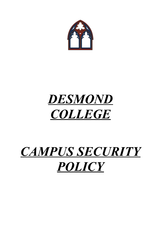

## *DESMOND COLLEGE*

# *CAMPUS SECURITY POLICY*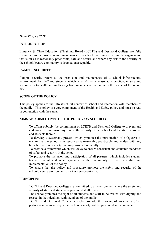#### *Date: 1st April 2019*

#### **INTRODUCTION**

Limerick & Clare Education &Training Board (LCETB) and Desmond College are fully committed to the provision and maintenance of a school environment within the organisation that is far as is reasonably practicable, safe and secure and where any risk to the security of the school / centre community is deemed unacceptable.

#### **CAMPUS SECURITY**

Campus security refers to the provision and maintenance of a school infrastructural environment for staff and students which is as far as is reasonably practicable, safe and without risk to health and well-being from members of the public in the course of the school day.

#### **SCOPE OF THE POLICY**

This policy applies to the infrastructural context of school and interaction with members of the public. This policy is a core component of the Health and Safety policy and must be read in conjunction with the same.

#### **AIMS AND OBJECTIVES OF THE POLICY ON SECURITY**

- To affirm publicly the commitment of LCETB and Desmond College to prevent and endeavour to minimize any risk to the security of the school and the staff personnel and students therein.
- To develop a systematic process which promotes the introduction of safeguards to ensure that the school is as secure as is reasonably practicable and to deal with any breach of school security that may arise subsequently.
- To provide a framework which will delay to ensure consistent and equitable standards of safety and security in the school.
- To promote the inclusion and participation of all partners, which includes student, teacher, parent and other agencies in the community in the ownership and implementation of the policy.
- To ensure that the policy and procedure promote the safety and security of the school / centre environment as a key service priority.

## **PRINCIPLES**

- LCETB and Desmond College are committed to an environment where the safety and security of staff and students is promoted at all times.
- The school promotes the right of all students and staff to be treated with dignity and respect in their dealings with members of the public.
- LCETB and Desmond College actively promote the raising of awareness of all partners on the means by which school security will be promoted and maintained.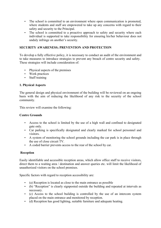- The school is committed to an environment where open communication is promoted, where students and staff are empowered to take up any concerns with regard to their safety and security to the Principal.
- The school is committed to a proactive approach to safety and security where each individual is supported to take responsibility for ensuring his/her behaviour does not unduly infringe on another's security.

## **SECURITY AWARENESS; PREVENTION AND PROTECTION**

To develop a fully effective policy, it is necessary to conduct an audit of the environment and to take measures to introduce strategies to prevent any breach of centre security and safety. These strategies will include consideration of:

- Physical aspects of the premises
- Work practices
- Staff training

## **1. Physical Aspects**

The general design and physical environment of the building will be reviewed on an ongoing basis with the aim of reducing the likelihood of any risk to the security of the school community.

This review will examine the following:

## **Centre Grounds**

- Access to the school is limited by the use of a high wall and confined to designated gate only.
- Car parking is specifically designated and clearly marked for school personnel and visitors.
- A system of monitoring the school grounds including the car park is in place through the use of close circuit TV.
- A coded barrier prevents access to the rear of the school by car.

## **Reception**

Easily identifiable and accessible reception areas, which allow office staff to receive visitors, direct them to a waiting area / destination and answer queries etc. will limit the likelihood of unauthorized visitors on the school premises.

Specific factors with regard to reception accessibility are:

- (a) Reception is located as close to the main entrance as possible
- (b) "Reception" is clearly signposted outside the building and repeated at intervals as necessary.
- (c) Access to the school building is controlled by the use of an intercom system placed on the main entrance and monitored by reception.
- (d) Reception has good lighting, suitable furniture and adequate heating.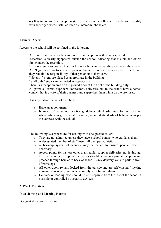(e) It is important that reception staff can liaise with colleagues readily and speedily with security devices installed such as: intercom, phone etc.

## **General Access**

Access to the school will be confined to the following:

- All visitors and other callers are notified to reception as they are expected
- Reception is clearly signposted outside the school indicating that visitors and others first contact the reception.
- Visitors sign in and out so that it is known who is in the building and when they leave
- All "legitimate" visitors wear a pass or badge or are met by a member of staff and they remain the responsibility of that person until they leave
- "No entry" signs are placed as appropriate in the building
- "Staff only" signs can be posted as appropriate
- There is a reception area on the ground floor at the front of the building only.
- All parents / carers, suppliers, contractors, deliveries etc. to the school have a named contact that is aware of their business and supervises them while on the premises.

It is imperative that all of the above:

- o Have an appointment
- o Is aware of the school practice guidelines which s/he must follow, such as, where s/he can go, what s/he can do, required standards of behaviour as per the contract with the school.
- The following is a procedure for dealing with unexpected callers
	- o They are not admitted unless they have a school contact who validates them
	- o A designated member of staff meets all unexpected visitors
	- o A back-up system of security may be called to ensure people leave if necessary
	- o Access points for visitors other than regular supplier deliveries etc. is through the main entrance. Supplier deliveries should be given a pass at reception and proceed through barrier to back of school. Only delivery vans to park in front of rear steps.
	- o All other doors remain locked from the outside and are self-closing / locking allowing egress only and which comply with fire regulations
	- o Delivery or loading bays should be kept separate from the rest of the school if possible or controlled by security devices.

## **2. Work Practices**

#### **Interviewing and Meeting Rooms**

Designated meeting areas are: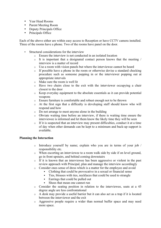- Year Head Rooms
- Parent Meeting Room
- Deputy Principals Office
- Principals Office

Each of the above either are within easy access to Reception or have CCTV camera installed. Three of the rooms have a phone. Two of the rooms have panel on the door.

- Structural considerations for the interview
	- o Ensure the interview is not conducted in an isolated location
	- $\circ$  It is important that a designated contact person knows that the meeting / interview is a matter of record
	- o Use a room with vision panels but where the interviewee cannot be heard
	- $\circ$  If possible have a phone in the room or otherwise devise a standard checking procedure such as someone popping in or the interviewer popping out at appropriate intervals
	- o Make sure the room is well lit
	- o Have two chairs close to the exit with the interviewer occupying a chair closest to the door
	- o Keep everyday equipment to the absolute essentials as it can provide potential weapons
	- o Ensure furniture is comfortable and robust enough not to be thrown
	- o At the first sign that a difficulty is developing staff should know who will respond and how
	- o Do not arrange to meet anyone alone in the building
	- o Obviate waiting time before an interview, if there is waiting time ensure the interviewee is informed and let them know the likely time they will be seen
	- o If it is suspected that an interview may present difficulties, conduct it at a time of day when other demands can be kept to a minimum and back-up support is available.

## **Planning the Interaction**

- o Introduce yourself by name; explain who you are in terms of your job / responsibility etc.
- o When escorting an interviewee to a room walk side by side if on level ground, go in front upstairs, and behind coming downstairs
- o If it is known that an interviewee has been aggressive or violent in the past review approach with Principal, plan and manage the interview accordingly
- o Consider ones sense of dress which is a matter for the employee and avoid
	- Clothing that could be provocative in a sexual or financial sense
	- Ties, blouses with ties, necklaces that could be used to strangle
	- Earrings that could be pulled out
	- Shoes that mean one cannot run
- o Consider the seating position in relation to the interviewee, seats at a 45 degree angle are less confrontational
- o A desk may provide a useful barrier but it can also act as a trap if it is located between the interviewer and the exit
- o Aggressive people require a wider than normal buffer space and may need more space.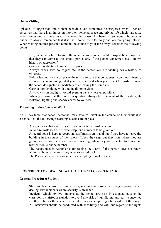## **Home Visiting**

Episodes of aggression and violent behaviour can sometimes be triggered when a person perceives that there is an intrusion into their personal space and private life which may arise when conducting a home visit. Whatever the reason for being in someone's home it is critical to always remember that it is their home, their territory and you are going into it. When visiting another person's home in the course of your job always consider the following points:

- Do you actually have to go to the other persons home; could transport be arranged so that they can come to the school, particularly if the person concerned has a known history of aggression?
- Consider conducting home visits in pairs.
- Always check with colleagues etc. if the person you are visiting has a history of violence.
- Before leaving your workplace always make sure that colleagues know your itinerary i.e. where you are going, what your plans are and when you expect to finish. Contact the school designated immediately after leaving the home visit.
- Carry a mobile phone with you on all home visits.
- Always visit in daylight. Avoid evening visits wherever possible.<br>• When you arrive at the house in question always take account
- When you arrive at the house in question always take account of the location, its isolation, lighting and speedy access to your car

#### **Travelling in the Course of Work**

As is inevitable that school personnel may have to travel in the course of their work it is essential that the following recording systems are in place:

- Always check that any request to conduct a home visit is genuine.
- In no circumstances are private telephone numbers to be given out.
- A record book is kept at reception; staff must sign in and out if they have to leave the building in the course of their work. When they sign out they note where they are going, with whom or whom they are meeting, when they are expected to return and his/her mobile phone number.
- The receptionist is responsible for raising the alarm if the person does not return within an hour of the time they were expected back.
- The Principal is then responsible for attempting to make contact.

## **PROCEDURE FOR DEALING WITH A POTENTIAL SECURITY RISK**

## **General Procedure: Student**

- Staff are best advised to take a calm, unemotional problem-solving approach when dealing with incidents where security is breached.
- Incidents which involve students at the school are best investigated outside the classroom / staffroom situation to avoid any risk of humiliating any party concerned i.e. the victim or the alleged perpetrator, in an attempt to get both sides of the story. All interviews should be conducted with sensitivity and with due regard to the rights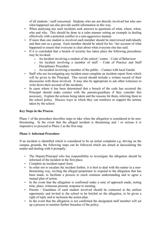of all students / staff concerned. Students who are not directly involved but who saw what happened can also provide useful information in this way.

- When analysing any such incidents seek answers to questions of what, where, when, who and why. This should be done in a calm manner setting an example in dealing effectively with a potential conflict in a non-aggressive manner.
- If more than one student is involved each member should be interviewed individually and then met as a group. Each member should be asked for his / her account of what happened to ensure that everyone is clear about what everyone else has said.
- If it is concluded that a breach of security has taken place the following procedures may be invoked:
	- o An incident involving a student of the school / centre Code of Behaviour
	- o An incident involving a member of staff Code of Practice and Staff Disciplinary Procedure
	- o An incident involving a member of the public Contact with local Gardai
- Staff who are investigating any incident must complete an incident report form which will be given to the Principal. This record should include a written record of their discussions with those involved. It may also be appropriate to ask other witnesses to write down their account of the incidents.
- In cases where it has been determined that a breach of the code has occurred the Principal should make contact with the parents/guardians if they consider this necessary. Explain the actions being taken and the reasons for them, referring them to the school policy. Discuss ways in which they can reinforce or support the actions taken by the school.

## **Key Steps in the Process**

Phase 1 of the procedure describes steps to take when the allegation is considered to be nonthreatening. In the event that the alleged incident is threatening and / or serious it is imperative to proceed to Phase 2 as the first step.

## **Phase 1: Informal Procedure**

If an incident is identified which is considered to be an initial complaint e.g. driving on the campus grounds, the following steps can be followed which are aimed at deescalating the matter and dealing with it promptly.

- The Deputy/Principal who has responsibility to investigate the allegation should be informed of the incident in the first place.
- Complete an incident report form.
- In order not to escalate the incident further, it is best to deal with the matter in a nonthreatening way, inviting the alleged perpetrator to respond to the allegation that has been made, to facilitate a process to reach common understanding and to agree a mutual plan of action.
- In the event that the allegation is confirmed make a note of approach made, noting time, place, witnesses present, response to meeting.
- Parents / Guardians of each student involved should be contacted at the earliest opportunity and invited to the school to be briefed on the allegation, to be given a right of reply and to inclusion the action plan.
- In the event that the allegation is not confirmed the designated staff member will set up a process to monitor further breaches of the policy.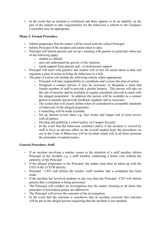In the event that an incident is confirmed and there appears to be an inability on the part of the student to take responsibility for the behaviour a referral to the Guidance Counsellor may be appropriate.

## **Phase 2: Formal Procedure**

- Inform perpetrator that the matter will be raised with the school Principal.
- Inform Principal of the incident and action taken to date.
- Principal will inform parents and set up a meeting with parents in particular when any of the following apply:
	- o student re-offends
	- o does not understand the gravity of the situation
	- o needs support from parents and / or professional support
- Principal will meet with parent/s and student will review all action taken to date and negotiate a plan of action to bring the behaviour to a halt.
- The plan of action will include the following criteria where appropriate:
	- o Principal will take responsibility to coordinate and oversee the plan of action
	- o Designate a contact person, it may be necessary to designate a male and female member of staff to provide a gender balance. This person will take on the role of monitor and be available at regular scheduled intervals to meet with the alleged perpetrator. In addition this person will be available as a contact person to parents and provide feedback regularly and as necessary.
	- o The action plan will clearly define what are considered to acceptable standards of behaviour of the alleged perpetrator.
	- o Counselling will be made available.
	- o Set up interim review dates e.g. four weeks and longer end of term review with all parties.
	- o Develop and publicise a school policy on Campus Security.
	- $\circ$  In the event that the behaviour continues and/or if the incident is viewed by staff to have an adverse effect on the overall student body the procedures set out in the Code of Behaviour will be invoked which will at all times promote the principles of natural justice.

## **General Procedure: Staff**

- If an incident involving a teacher comes to the attention of a staff member inform Principal of the incident e.g. a staff member conducting a home visit without the authority of the Principal.
- If the alleged perpetrator is the Principal, the matter must then be taken up with the CEO of the LCETB directly.
- Principal / CEO will inform the teacher /staff member that a complaint has been made.
- If the incident has involved students in any way then the Principal / CEO will inform parents that a complaint is being processed.
- The Principal will conduct an investigation into the matter ensuring at all times that principles of procedural justice are adhered to.
- The Principal will review the outcome of the investigation.
- In the event that the outcome is conclusive that an incident occurred, this outcome will be put to the alleged person requesting that the incident is not repeated.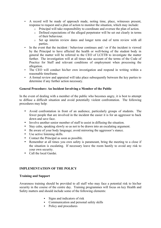- A record will be made of approach made, noting time, place, witnesses present, response to request and a plan of action to monitor the situation, which may include:
	- o Principal will take responsibility to coordinate and oversee the plan of action.
	- o Defined expectations of the alleged perpetrator will be set out clearly in terms of their behaviour.
	- o Set up interim review dates and longer term end of term review with all parties.
- In the event that the incident / behaviour continues and / or if the incident is viewed by the Principal to have affected the health or well-being of the student body in general the matter will be referred to the CEO of LCETB to investigate the matter further. The investigation will at all times take account of the terms of the Code of Practice for Staff and relevant conditions of employment when processing the allegation.
- The CEO will conduct his/her own investigation and respond in writing within a reasonable timeframe.
- A formal review and appraisal will take place subsequently between the key parties to determine if any further action necessary.

## **General Procedure: An Incident Involving a Member of the Public**

In the event of dealing with a member of the public who becomes angry, it is best to attempt to diffuse a difficult situation and avoid potentially violent confrontation. The following procedures may help:

- Avoid confrontation in front of an audience, particularly groups of students. The fewer people that are involved in the incident the easier it is for an aggressor to back down and save face.
- Involve another senior member of staff to assist in diffusing the situation.
- Stay calm, speaking slowly so as not to be drawn into an escalating argument.
- Be aware of your body language; avoid mirroring the aggressor's stance.
- Use active listening skills.
- Contact the Principal as soon as possible.<br>• Remember at all times you own safety is
- Remember at all times you own safety is paramount, bring the meeting to a close if the situation is escalating. If necessary leave the room hastily to avoid any risk to your own security.
- Call the local Gardai.

## **IMPLEMENTATION OF THE POLICY**

#### **Training and Support**

Awareness training should be provided to all staff who may face a potential risk to his/her security in the course of the centre day. Training programmes will focus on key Health and Safety matters and should include some of the following elements:

- Signs and indicators of risk
- Communication and personal safety skills
- Policy and procedures